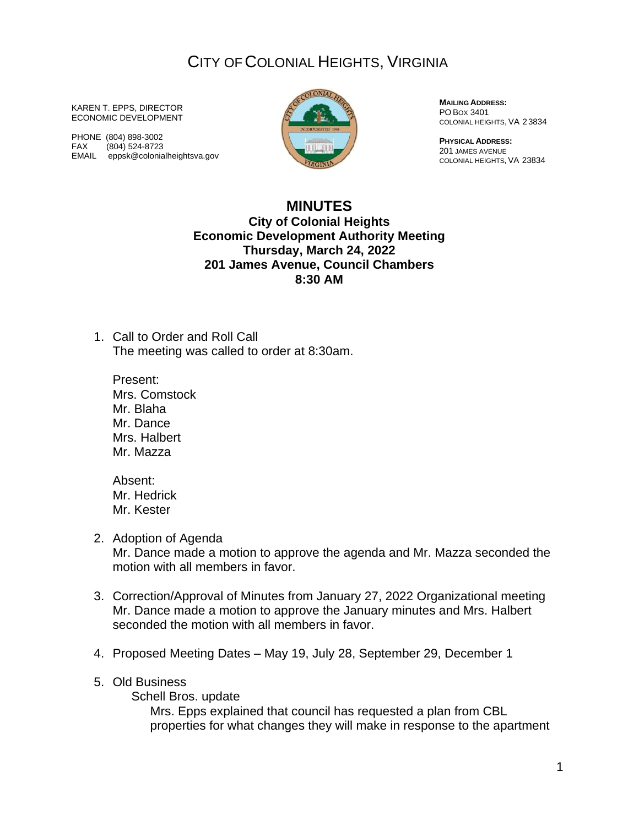## CITY OF COLONIAL HEIGHTS, VIRGINIA

KAREN T. EPPS, DIRECTOR ECONOMIC DEVELOPMENT

PHONE (804) 898-3002 FAX (804) 524-8723 EMAIL eppsk@colonialheightsva.gov



**MAILING ADDRESS:** PO BOX 3401 COLONIAL HEIGHTS, VA 23834

**PHYSICAL ADDRESS:** 201 JAMES AVENUE COLONIAL HEIGHTS, VA 23834

## **MINUTES**

**City of Colonial Heights Economic Development Authority Meeting Thursday, March 24, 2022 201 James Avenue, Council Chambers 8:30 AM**

1. Call to Order and Roll Call The meeting was called to order at 8:30am.

Present: Mrs. Comstock Mr. Blaha Mr. Dance Mrs. Halbert Mr. Mazza

Absent: Mr. Hedrick Mr. Kester

2. Adoption of Agenda

Mr. Dance made a motion to approve the agenda and Mr. Mazza seconded the motion with all members in favor.

- 3. Correction/Approval of Minutes from January 27, 2022 Organizational meeting Mr. Dance made a motion to approve the January minutes and Mrs. Halbert seconded the motion with all members in favor.
- 4. Proposed Meeting Dates May 19, July 28, September 29, December 1

## 5. Old Business

Schell Bros. update

Mrs. Epps explained that council has requested a plan from CBL properties for what changes they will make in response to the apartment